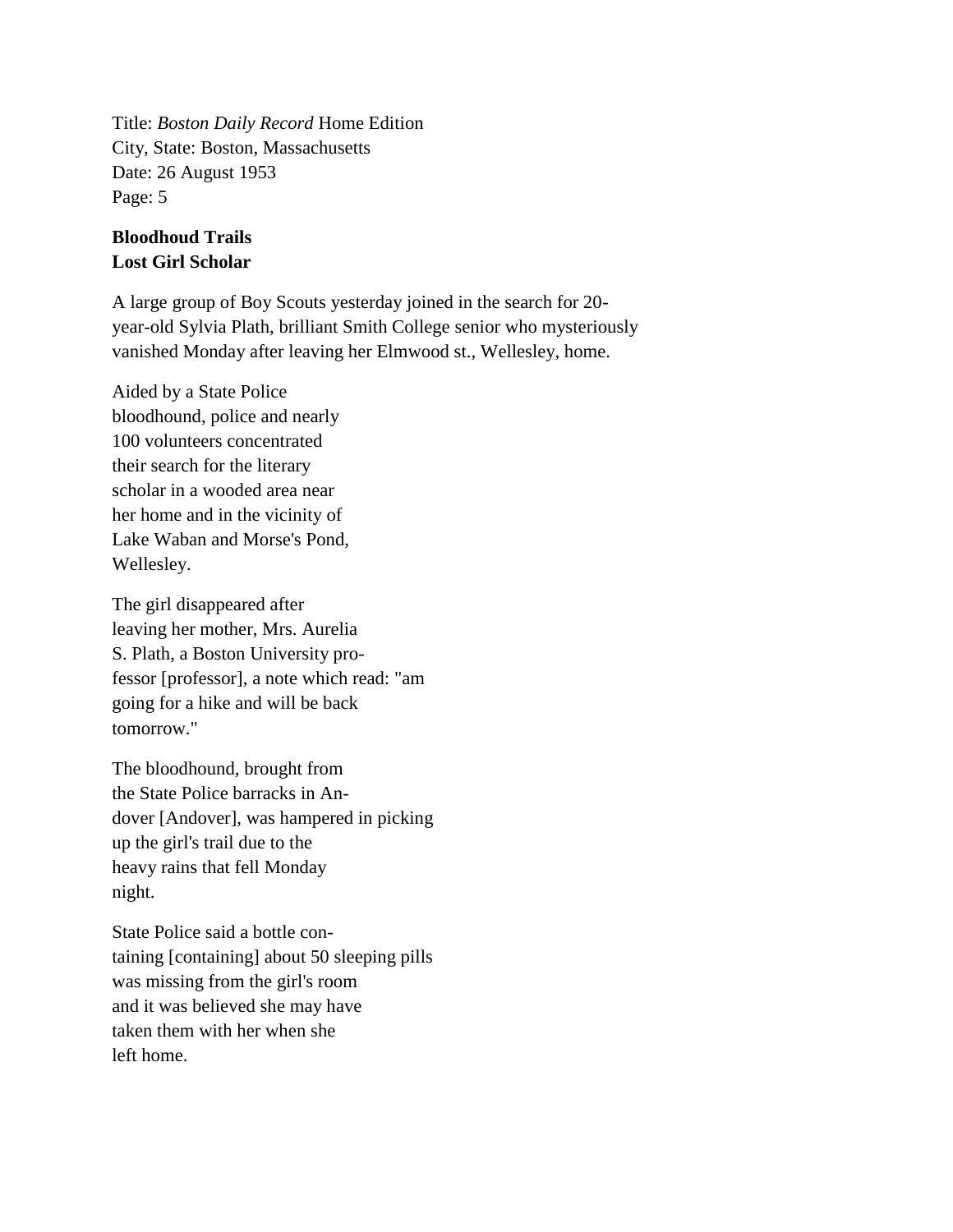Title: *Boston Daily Record* Home Edition City, State: Boston, Massachusetts Date: 26 August 1953 Page: 5

## **Bloodhoud Trails Lost Girl Scholar**

A large group of Boy Scouts yesterday joined in the search for 20 year-old Sylvia Plath, brilliant Smith College senior who mysteriously vanished Monday after leaving her Elmwood st., Wellesley, home.

Aided by a State Police bloodhound, police and nearly 100 volunteers concentrated their search for the literary scholar in a wooded area near her home and in the vicinity of Lake Waban and Morse's Pond, Wellesley.

The girl disappeared after leaving her mother, Mrs. Aurelia S. Plath, a Boston University professor [professor], a note which read: "am going for a hike and will be back tomorrow."

The bloodhound, brought from the State Police barracks in Andover [Andover], was hampered in picking up the girl's trail due to the heavy rains that fell Monday night.

State Police said a bottle containing [containing] about 50 sleeping pills was missing from the girl's room and it was believed she may have taken them with her when she left home.